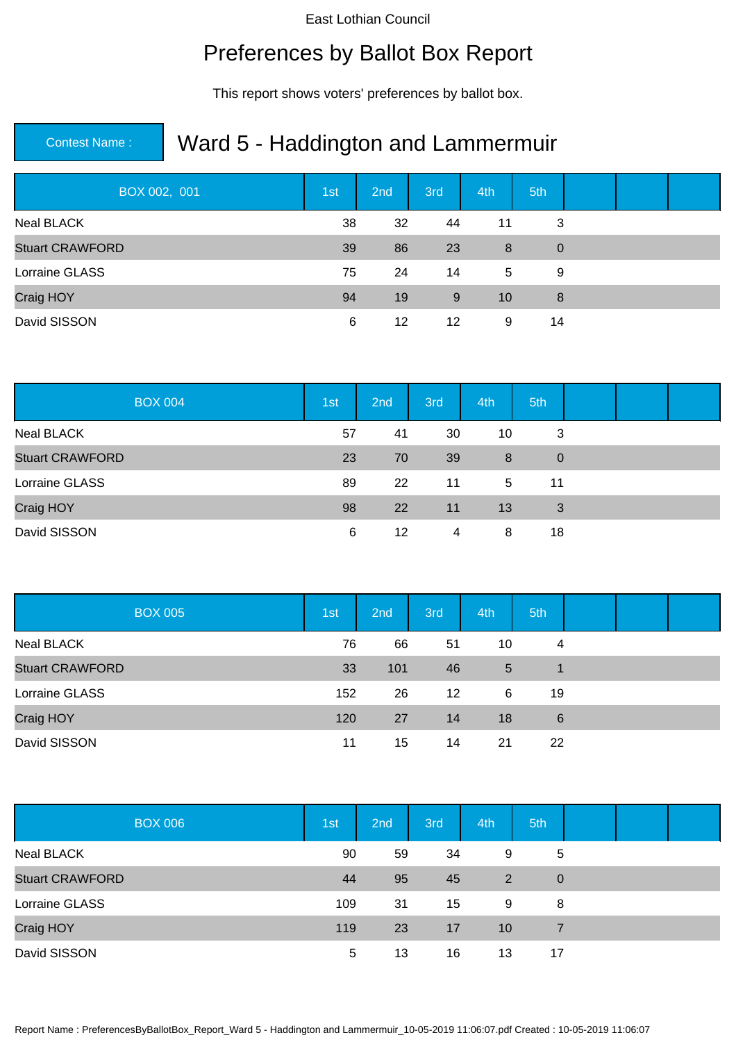## Preferences by Ballot Box Report

This report shows voters' preferences by ballot box.

| BOX 002, 001           | 1st | 2nd | 3rd | 4th | 5th            |  |  |
|------------------------|-----|-----|-----|-----|----------------|--|--|
| Neal BLACK             | 38  | 32  | 44  | 11  | 3              |  |  |
| <b>Stuart CRAWFORD</b> | 39  | 86  | 23  | 8   | $\overline{0}$ |  |  |
| Lorraine GLASS         | 75  | 24  | 14  | 5   | 9              |  |  |
| Craig HOY              | 94  | 19  | 9   | 10  | 8              |  |  |
| David SISSON           | 6   | 12  | 12  | 9   | 14             |  |  |

| <b>BOX 004</b>         | 1st | 2nd | 3rd | 4th | 5th            |  |  |
|------------------------|-----|-----|-----|-----|----------------|--|--|
| <b>Neal BLACK</b>      | 57  | 41  | 30  | 10  | 3              |  |  |
| <b>Stuart CRAWFORD</b> | 23  | 70  | 39  | 8   | $\overline{0}$ |  |  |
| Lorraine GLASS         | 89  | 22  | 11  | 5   | 11             |  |  |
| Craig HOY              | 98  | 22  | 11  | 13  | 3              |  |  |
| David SISSON           | 6   | 12  | 4   | 8   | 18             |  |  |

| <b>BOX 005</b>         | 1 <sub>st</sub> | 2 <sub>nd</sub> | 3rd | 4th | 5th |  |  |
|------------------------|-----------------|-----------------|-----|-----|-----|--|--|
| Neal BLACK             | 76              | 66              | 51  | 10  | 4   |  |  |
| <b>Stuart CRAWFORD</b> | 33              | 101             | 46  | 5   |     |  |  |
| Lorraine GLASS         | 152             | 26              | 12  | 6   | 19  |  |  |
| Craig HOY              | 120             | 27              | 14  | 18  | 6   |  |  |
| David SISSON           | 11              | 15              | 14  | 21  | 22  |  |  |

| <b>BOX 006</b>         | 1st | 2nd | 3rd | 4th | 5th            |  |  |
|------------------------|-----|-----|-----|-----|----------------|--|--|
| Neal BLACK             | 90  | 59  | 34  | 9   | $\overline{5}$ |  |  |
| <b>Stuart CRAWFORD</b> | 44  | 95  | 45  | 2   | $\overline{0}$ |  |  |
| Lorraine GLASS         | 109 | 31  | 15  | 9   | 8              |  |  |
| Craig HOY              | 119 | 23  | 17  | 10  | 7              |  |  |
| David SISSON           | 5   | 13  | 16  | 13  | 17             |  |  |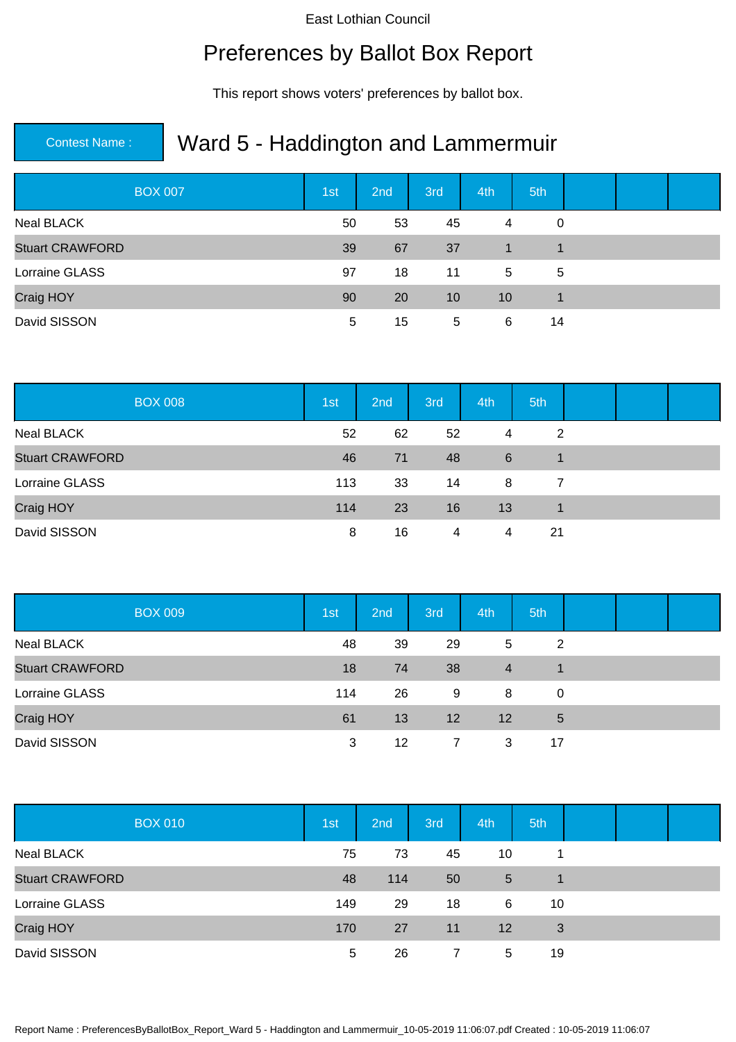## Preferences by Ballot Box Report

This report shows voters' preferences by ballot box.

| <b>BOX 007</b>         | 1st | 2nd | 3rd | 4th            | 5th         |  |  |
|------------------------|-----|-----|-----|----------------|-------------|--|--|
| <b>Neal BLACK</b>      | 50  | 53  | 45  | $\overline{4}$ | 0           |  |  |
| <b>Stuart CRAWFORD</b> | 39  | 67  | 37  | $\blacksquare$ | 1           |  |  |
| Lorraine GLASS         | 97  | 18  | 11  | 5              | 5           |  |  |
| Craig HOY              | 90  | 20  | 10  | 10             | $\mathbf 1$ |  |  |
| David SISSON           | 5   | 15  | 5   | 6              | 14          |  |  |

| <b>BOX 008</b>         | 1st | 2nd | 3rd | 4th | 5th            |  |  |
|------------------------|-----|-----|-----|-----|----------------|--|--|
| <b>Neal BLACK</b>      | 52  | 62  | 52  | 4   | $\overline{2}$ |  |  |
| <b>Stuart CRAWFORD</b> | 46  | 71  | 48  | 6   | $\mathbf 1$    |  |  |
| Lorraine GLASS         | 113 | 33  | 14  | 8   | 7              |  |  |
| Craig HOY              | 114 | 23  | 16  | 13  |                |  |  |
| David SISSON           | 8   | 16  | 4   | 4   | 21             |  |  |

| <b>BOX 009</b>         | 1 <sub>st</sub> | 2nd | 3rd | 4th | 5th            |  |  |
|------------------------|-----------------|-----|-----|-----|----------------|--|--|
| Neal BLACK             | 48              | 39  | 29  | 5   | $\overline{2}$ |  |  |
| <b>Stuart CRAWFORD</b> | 18              | 74  | 38  | 4   |                |  |  |
| Lorraine GLASS         | 114             | 26  | 9   | 8   | 0              |  |  |
| Craig HOY              | 61              | 13  | 12  | 12  | 5              |  |  |
| David SISSON           | 3               | 12  | 7   | 3   | 17             |  |  |

| <b>BOX 010</b>         | 1st | 2nd | 3rd | 4th               | 5th |  |  |
|------------------------|-----|-----|-----|-------------------|-----|--|--|
| Neal BLACK             | 75  | 73  | 45  | 10                |     |  |  |
| <b>Stuart CRAWFORD</b> | 48  | 114 | 50  | 5                 |     |  |  |
| Lorraine GLASS         | 149 | 29  | 18  | 6                 | 10  |  |  |
| Craig HOY              | 170 | 27  | 11  | $12 \overline{ }$ | 3   |  |  |
| David SISSON           | 5   | 26  |     | 5                 | 19  |  |  |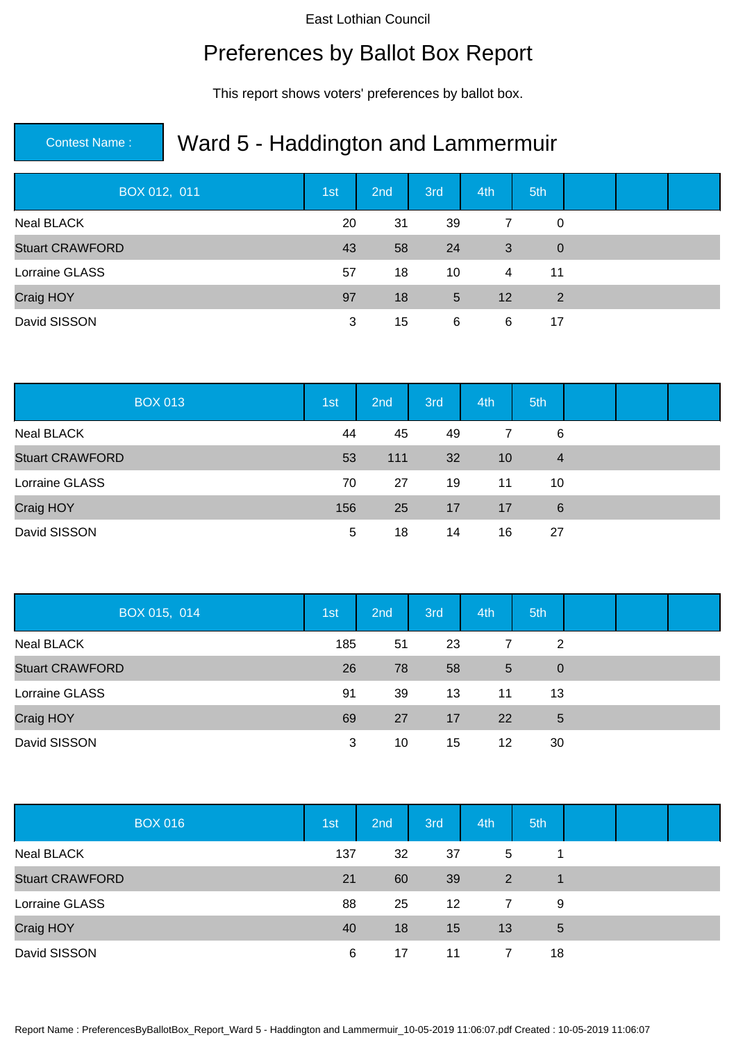## Preferences by Ballot Box Report

This report shows voters' preferences by ballot box.

| BOX 012, 011           | 1st | 2nd | 3rd | 4th               | 5th            |  |  |
|------------------------|-----|-----|-----|-------------------|----------------|--|--|
| Neal BLACK             | 20  | 31  | 39  | 7                 | $\Omega$       |  |  |
| <b>Stuart CRAWFORD</b> | 43  | 58  | 24  | 3                 | $\overline{0}$ |  |  |
| Lorraine GLASS         | 57  | 18  | 10  | 4                 | 11             |  |  |
| Craig HOY              | 97  | 18  | 5   | $12 \overline{ }$ | $\overline{2}$ |  |  |
| David SISSON           | 3   | 15  | 6   | 6                 | 17             |  |  |

| <b>BOX 013</b>         | 1st | 2nd | 3rd | 4th | 5th            |  |  |
|------------------------|-----|-----|-----|-----|----------------|--|--|
| <b>Neal BLACK</b>      | 44  | 45  | 49  | 7   | 6              |  |  |
| <b>Stuart CRAWFORD</b> | 53  | 111 | 32  | 10  | $\overline{4}$ |  |  |
| Lorraine GLASS         | 70  | 27  | 19  | 11  | 10             |  |  |
| Craig HOY              | 156 | 25  | 17  | 17  | 6              |  |  |
| David SISSON           | 5   | 18  | 14  | 16  | 27             |  |  |

| BOX 015, 014           | 1st | 2 <sub>nd</sub> | 3rd | 4th | 5th             |  |  |
|------------------------|-----|-----------------|-----|-----|-----------------|--|--|
| Neal BLACK             | 185 | 51              | 23  | 7   | 2               |  |  |
| <b>Stuart CRAWFORD</b> | 26  | 78              | 58  | 5   | $\overline{0}$  |  |  |
| Lorraine GLASS         | 91  | 39              | 13  | 11  | 13              |  |  |
| Craig HOY              | 69  | 27              | 17  | 22  | $5\phantom{.0}$ |  |  |
| David SISSON           | 3   | 10              | 15  | 12  | 30              |  |  |

| <b>BOX 016</b>         | 1st | 2nd | 3rd | 4th | 5th |  |  |
|------------------------|-----|-----|-----|-----|-----|--|--|
| <b>Neal BLACK</b>      | 137 | 32  | 37  | 5   |     |  |  |
| <b>Stuart CRAWFORD</b> | 21  | 60  | 39  | 2   |     |  |  |
| Lorraine GLASS         | 88  | 25  | 12  | 7   | 9   |  |  |
| Craig HOY              | 40  | 18  | 15  | 13  | 5   |  |  |
| David SISSON           | 6   | 17  | 11  |     | 18  |  |  |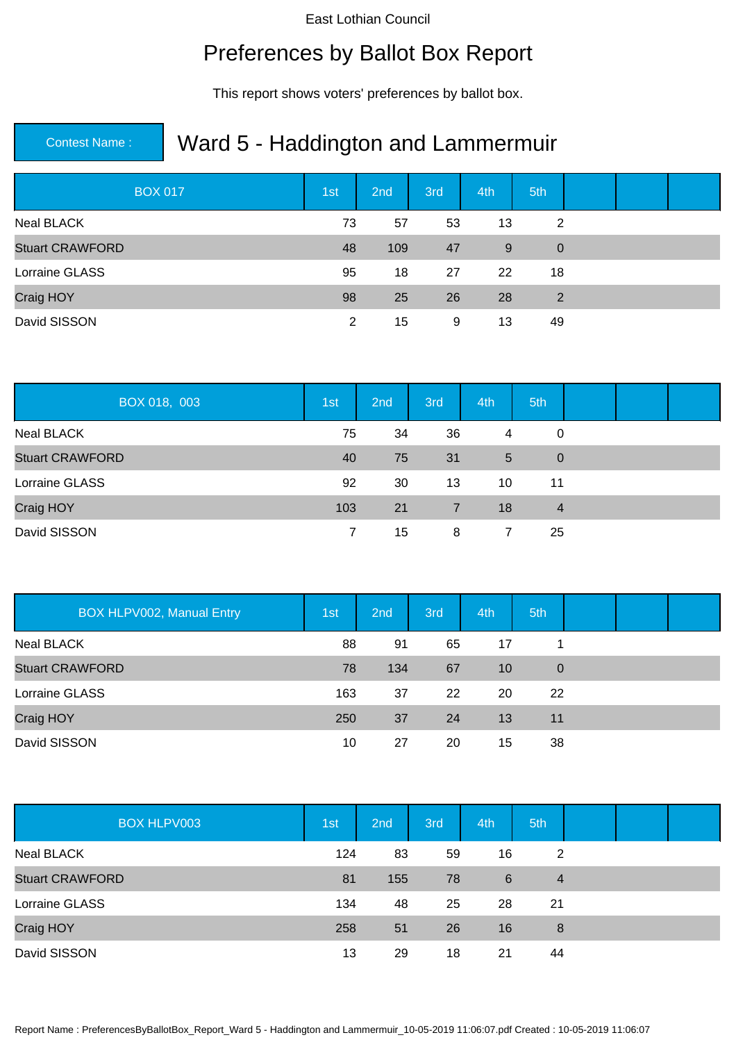## Preferences by Ballot Box Report

This report shows voters' preferences by ballot box.

| <b>BOX 017</b>         | 1st | 2nd | 3rd | 4th | 5th            |  |  |
|------------------------|-----|-----|-----|-----|----------------|--|--|
| Neal BLACK             | 73  | 57  | 53  | 13  | 2              |  |  |
| <b>Stuart CRAWFORD</b> | 48  | 109 | 47  | 9   | $\overline{0}$ |  |  |
| Lorraine GLASS         | 95  | 18  | 27  | 22  | 18             |  |  |
| Craig HOY              | 98  | 25  | 26  | 28  | 2              |  |  |
| David SISSON           | 2   | 15  | 9   | 13  | 49             |  |  |

| BOX 018, 003           | 1st | 2nd | 3rd | 4th | 5th            |  |  |
|------------------------|-----|-----|-----|-----|----------------|--|--|
| <b>Neal BLACK</b>      | 75  | 34  | 36  | 4   | 0              |  |  |
| <b>Stuart CRAWFORD</b> | 40  | 75  | 31  | 5   | $\overline{0}$ |  |  |
| Lorraine GLASS         | 92  | 30  | 13  | 10  | 11             |  |  |
| Craig HOY              | 103 | 21  | 7   | 18  | $\overline{4}$ |  |  |
| David SISSON           |     | 15  | 8   | 7   | 25             |  |  |

| BOX HLPV002, Manual Entry | 1st | 2nd | 3rd | 4th | 5th            |  |  |
|---------------------------|-----|-----|-----|-----|----------------|--|--|
| <b>Neal BLACK</b>         | 88  | 91  | 65  | 17  |                |  |  |
| <b>Stuart CRAWFORD</b>    | 78  | 134 | 67  | 10  | $\overline{0}$ |  |  |
| Lorraine GLASS            | 163 | 37  | 22  | 20  | 22             |  |  |
| Craig HOY                 | 250 | 37  | 24  | 13  | 11             |  |  |
| David SISSON              | 10  | 27  | 20  | 15  | 38             |  |  |

| <b>BOX HLPV003</b>     | 1st | 2nd | 3rd | 4th | 5th            |  |  |
|------------------------|-----|-----|-----|-----|----------------|--|--|
| Neal BLACK             | 124 | 83  | 59  | 16  | 2              |  |  |
| <b>Stuart CRAWFORD</b> | 81  | 155 | 78  | 6   | $\overline{4}$ |  |  |
| Lorraine GLASS         | 134 | 48  | 25  | 28  | 21             |  |  |
| Craig HOY              | 258 | 51  | 26  | 16  | 8              |  |  |
| David SISSON           | 13  | 29  | 18  | 21  | 44             |  |  |